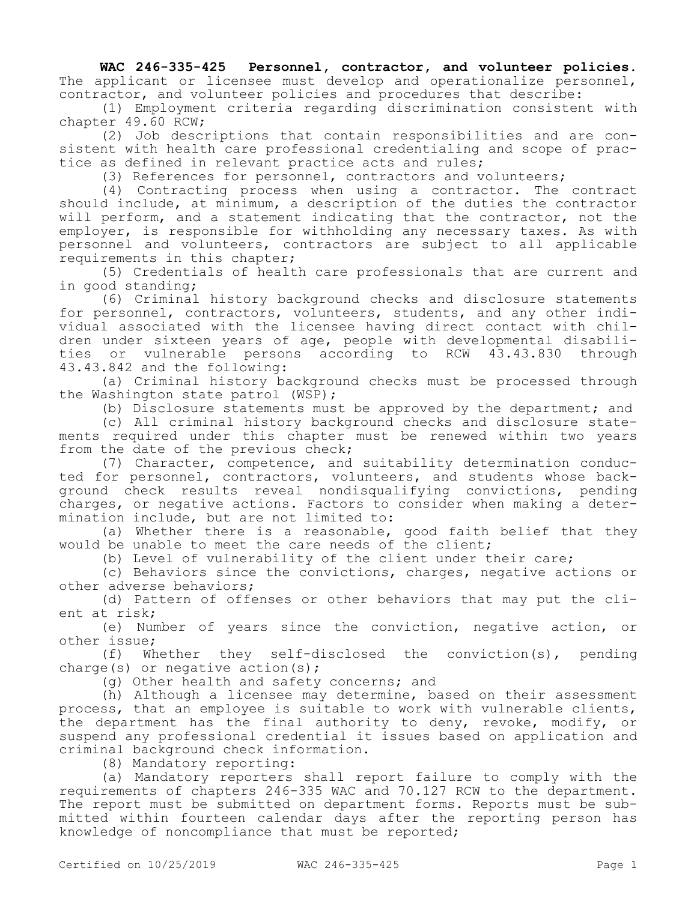**WAC 246-335-425 Personnel, contractor, and volunteer policies.**  The applicant or licensee must develop and operationalize personnel, contractor, and volunteer policies and procedures that describe:

(1) Employment criteria regarding discrimination consistent with chapter 49.60 RCW;

(2) Job descriptions that contain responsibilities and are consistent with health care professional credentialing and scope of practice as defined in relevant practice acts and rules;

(3) References for personnel, contractors and volunteers;

(4) Contracting process when using a contractor. The contract should include, at minimum, a description of the duties the contractor will perform, and a statement indicating that the contractor, not the employer, is responsible for withholding any necessary taxes. As with personnel and volunteers, contractors are subject to all applicable requirements in this chapter;

(5) Credentials of health care professionals that are current and in good standing;

(6) Criminal history background checks and disclosure statements for personnel, contractors, volunteers, students, and any other individual associated with the licensee having direct contact with children under sixteen years of age, people with developmental disabilities or vulnerable persons according to RCW 43.43.830 through 43.43.842 and the following:

(a) Criminal history background checks must be processed through the Washington state patrol (WSP);

(b) Disclosure statements must be approved by the department; and

(c) All criminal history background checks and disclosure statements required under this chapter must be renewed within two years from the date of the previous check;

(7) Character, competence, and suitability determination conducted for personnel, contractors, volunteers, and students whose background check results reveal nondisqualifying convictions, pending charges, or negative actions. Factors to consider when making a determination include, but are not limited to:

(a) Whether there is a reasonable, good faith belief that they would be unable to meet the care needs of the client;

(b) Level of vulnerability of the client under their care;

(c) Behaviors since the convictions, charges, negative actions or other adverse behaviors;

(d) Pattern of offenses or other behaviors that may put the client at risk;

(e) Number of years since the conviction, negative action, or other issue;

(f) Whether they self-disclosed the conviction(s), pending charge(s) or negative action(s);

(g) Other health and safety concerns; and

(h) Although a licensee may determine, based on their assessment process, that an employee is suitable to work with vulnerable clients, the department has the final authority to deny, revoke, modify, or suspend any professional credential it issues based on application and criminal background check information.

(8) Mandatory reporting:

(a) Mandatory reporters shall report failure to comply with the requirements of chapters 246-335 WAC and 70.127 RCW to the department. The report must be submitted on department forms. Reports must be submitted within fourteen calendar days after the reporting person has knowledge of noncompliance that must be reported;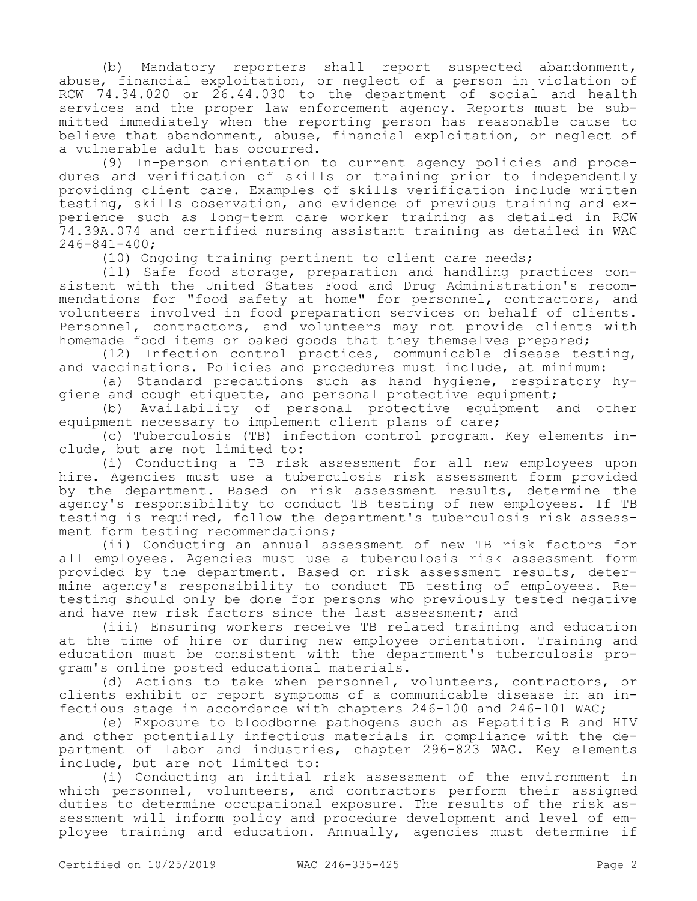(b) Mandatory reporters shall report suspected abandonment, abuse, financial exploitation, or neglect of a person in violation of RCW 74.34.020 or 26.44.030 to the department of social and health services and the proper law enforcement agency. Reports must be submitted immediately when the reporting person has reasonable cause to believe that abandonment, abuse, financial exploitation, or neglect of a vulnerable adult has occurred.

(9) In-person orientation to current agency policies and procedures and verification of skills or training prior to independently providing client care. Examples of skills verification include written testing, skills observation, and evidence of previous training and experience such as long-term care worker training as detailed in RCW 74.39A.074 and certified nursing assistant training as detailed in WAC 246-841-400;

(10) Ongoing training pertinent to client care needs;

(11) Safe food storage, preparation and handling practices consistent with the United States Food and Drug Administration's recommendations for "food safety at home" for personnel, contractors, and volunteers involved in food preparation services on behalf of clients. Personnel, contractors, and volunteers may not provide clients with homemade food items or baked goods that they themselves prepared;

(12) Infection control practices, communicable disease testing, and vaccinations. Policies and procedures must include, at minimum:

(a) Standard precautions such as hand hygiene, respiratory hygiene and cough etiquette, and personal protective equipment;

(b) Availability of personal protective equipment and other equipment necessary to implement client plans of care;

(c) Tuberculosis (TB) infection control program. Key elements include, but are not limited to:

(i) Conducting a TB risk assessment for all new employees upon hire. Agencies must use a tuberculosis risk assessment form provided by the department. Based on risk assessment results, determine the agency's responsibility to conduct TB testing of new employees. If TB testing is required, follow the department's tuberculosis risk assessment form testing recommendations;

(ii) Conducting an annual assessment of new TB risk factors for all employees. Agencies must use a tuberculosis risk assessment form provided by the department. Based on risk assessment results, determine agency's responsibility to conduct TB testing of employees. Retesting should only be done for persons who previously tested negative and have new risk factors since the last assessment; and

(iii) Ensuring workers receive TB related training and education at the time of hire or during new employee orientation. Training and education must be consistent with the department's tuberculosis program's online posted educational materials.

(d) Actions to take when personnel, volunteers, contractors, or clients exhibit or report symptoms of a communicable disease in an infectious stage in accordance with chapters 246-100 and 246-101 WAC;

(e) Exposure to bloodborne pathogens such as Hepatitis B and HIV and other potentially infectious materials in compliance with the department of labor and industries, chapter 296-823 WAC. Key elements include, but are not limited to:

(i) Conducting an initial risk assessment of the environment in which personnel, volunteers, and contractors perform their assigned duties to determine occupational exposure. The results of the risk assessment will inform policy and procedure development and level of employee training and education. Annually, agencies must determine if